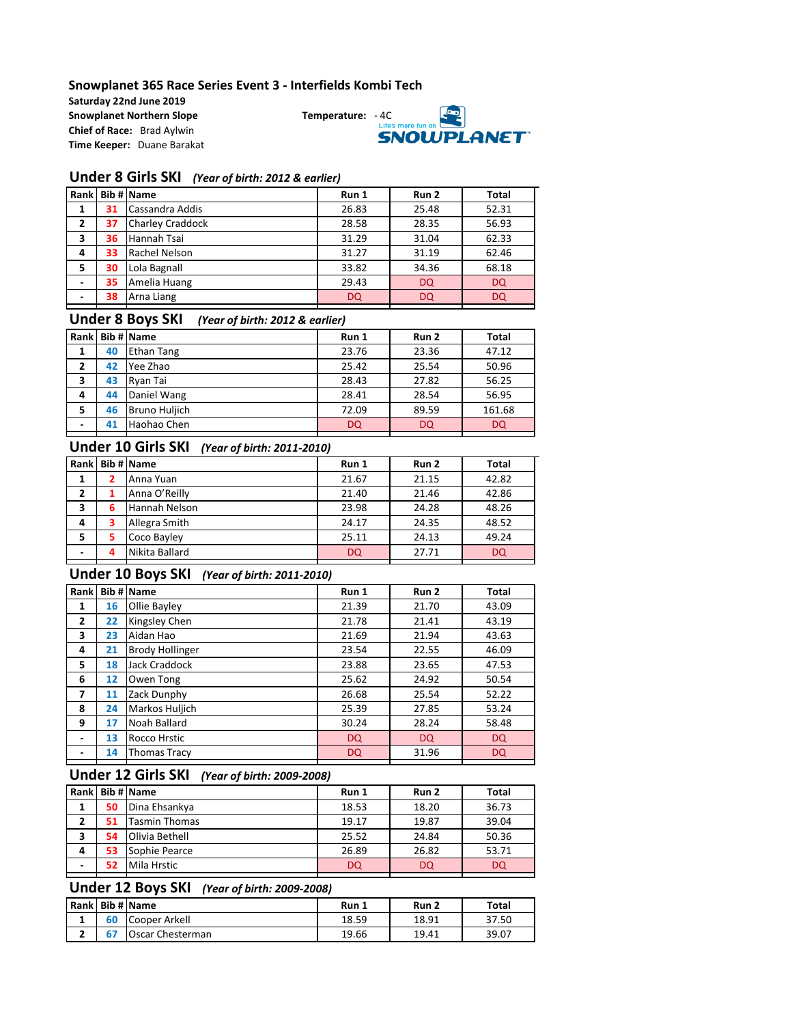#### **Snowplanet 365 Race Series Event 3 - Interfields Kombi Tech**

**Saturday 22nd June 2019 Snowplanet Northern Slope Temperature:** - 4C **Chief of Race:** Brad Aylwin **Time Keeper:** Duane Barakat



#### **Under 8 Girls SKI** *(Year of birth: 2012 & earlier)*

|   |    | Rank Bib # Name         | Run 1     | Run 2     | <b>Total</b> |
|---|----|-------------------------|-----------|-----------|--------------|
| 1 | 31 | Cassandra Addis         | 26.83     | 25.48     | 52.31        |
| 2 | 37 | <b>Charley Craddock</b> | 28.58     | 28.35     | 56.93        |
| 3 | 36 | Hannah Tsai             | 31.29     | 31.04     | 62.33        |
| 4 | 33 | Rachel Nelson           | 31.27     | 31.19     | 62.46        |
| 5 | 30 | Lola Bagnall            | 33.82     | 34.36     | 68.18        |
| ٠ | 35 | Amelia Huang            | 29.43     | <b>DQ</b> | <b>DQ</b>    |
| ٠ | 38 | Arna Liang              | <b>DQ</b> | <b>DQ</b> | <b>DQ</b>    |
|   |    |                         |           |           |              |

#### **Under 8 Boys SKI** *(Year of birth: 2012 & earlier)*

| Rank |    | Bib # Name    | Run 1 | Run 2 | <b>Total</b> |
|------|----|---------------|-------|-------|--------------|
| 1    | 40 | Ethan Tang    | 23.76 | 23.36 | 47.12        |
| 2    | 42 | Yee Zhao      | 25.42 | 25.54 | 50.96        |
| 3    | 43 | Rvan Tai      | 28.43 | 27.82 | 56.25        |
| 4    | 44 | Daniel Wang   | 28.41 | 28.54 | 56.95        |
| 5    | 46 | Bruno Huljich | 72.09 | 89.59 | 161.68       |
| ٠    | 41 | Haohao Chen   | DQ    | DQ    | <b>DQ</b>    |
|      |    |               |       |       |              |

#### **Under 10 Girls SKI** *(Year of birth: 2011-2010)*

|   |   | Rank Bib # Name | Run 1     | Run 2 | <b>Total</b> |
|---|---|-----------------|-----------|-------|--------------|
| 1 |   | Anna Yuan       | 21.67     | 21.15 | 42.82        |
| 2 |   | Anna O'Reilly   | 21.40     | 21.46 | 42.86        |
| 3 | 6 | Hannah Nelson   | 23.98     | 24.28 | 48.26        |
| 4 | 3 | Allegra Smith   | 24.17     | 24.35 | 48.52        |
| 5 | 5 | Coco Bayley     | 25.11     | 24.13 | 49.24        |
| ٠ | 4 | Nikita Ballard  | <b>DQ</b> | 27.71 | <b>DQ</b>    |
|   |   |                 |           |       |              |

## **Under 10 Boys SKI** *(Year of birth: 2011-2010)*

| Rank                     |    | Bib # Name             | Run 1     | Run 2     | Total     |
|--------------------------|----|------------------------|-----------|-----------|-----------|
| 1                        | 16 | Ollie Bayley           | 21.39     | 21.70     | 43.09     |
| $\overline{2}$           | 22 | Kingsley Chen          | 21.78     | 21.41     | 43.19     |
| 3                        | 23 | Aidan Hao              | 21.69     | 21.94     | 43.63     |
| 4                        | 21 | <b>Brody Hollinger</b> | 23.54     | 22.55     | 46.09     |
| 5.                       | 18 | Jack Craddock          | 23.88     | 23.65     | 47.53     |
| 6                        | 12 | Owen Tong              | 25.62     | 24.92     | 50.54     |
| 7                        | 11 | Zack Dunphy            | 26.68     | 25.54     | 52.22     |
| 8                        | 24 | Markos Huljich         | 25.39     | 27.85     | 53.24     |
| 9                        | 17 | Noah Ballard           | 30.24     | 28.24     | 58.48     |
| $\overline{\phantom{0}}$ | 13 | Rocco Hrstic           | DQ        | <b>DQ</b> | DQ        |
|                          | 14 | <b>Thomas Tracy</b>    | <b>DQ</b> | 31.96     | <b>DQ</b> |

## **Under 12 Girls SKI** *(Year of birth: 2009-2008)*

| Rank           |    | Bib # Name           | Run 1     | Run 2 | Total |
|----------------|----|----------------------|-----------|-------|-------|
| 1              | 50 | Dina Ehsankya        | 18.53     | 18.20 | 36.73 |
| $\overline{2}$ | 51 | <b>Tasmin Thomas</b> | 19.17     | 19.87 | 39.04 |
| з              | 54 | Olivia Bethell       | 25.52     | 24.84 | 50.36 |
| 4              | 53 | Sophie Pearce        | 26.89     | 26.82 | 53.71 |
| ٠              | 52 | Mila Hrstic          | <b>DQ</b> | DQ    | DQ    |
|                |    |                      |           |       |       |

# **Under 12 Boys SKI** *(Year of birth: 2009-2008)*

|  | Rank Bib # Name  | Run 1 | Run 2 | Total |
|--|------------------|-------|-------|-------|
|  | Cooper Arkell    | 18.59 | 18.91 | 37.50 |
|  | Oscar Chesterman | 19.66 | 19.41 | 39.07 |